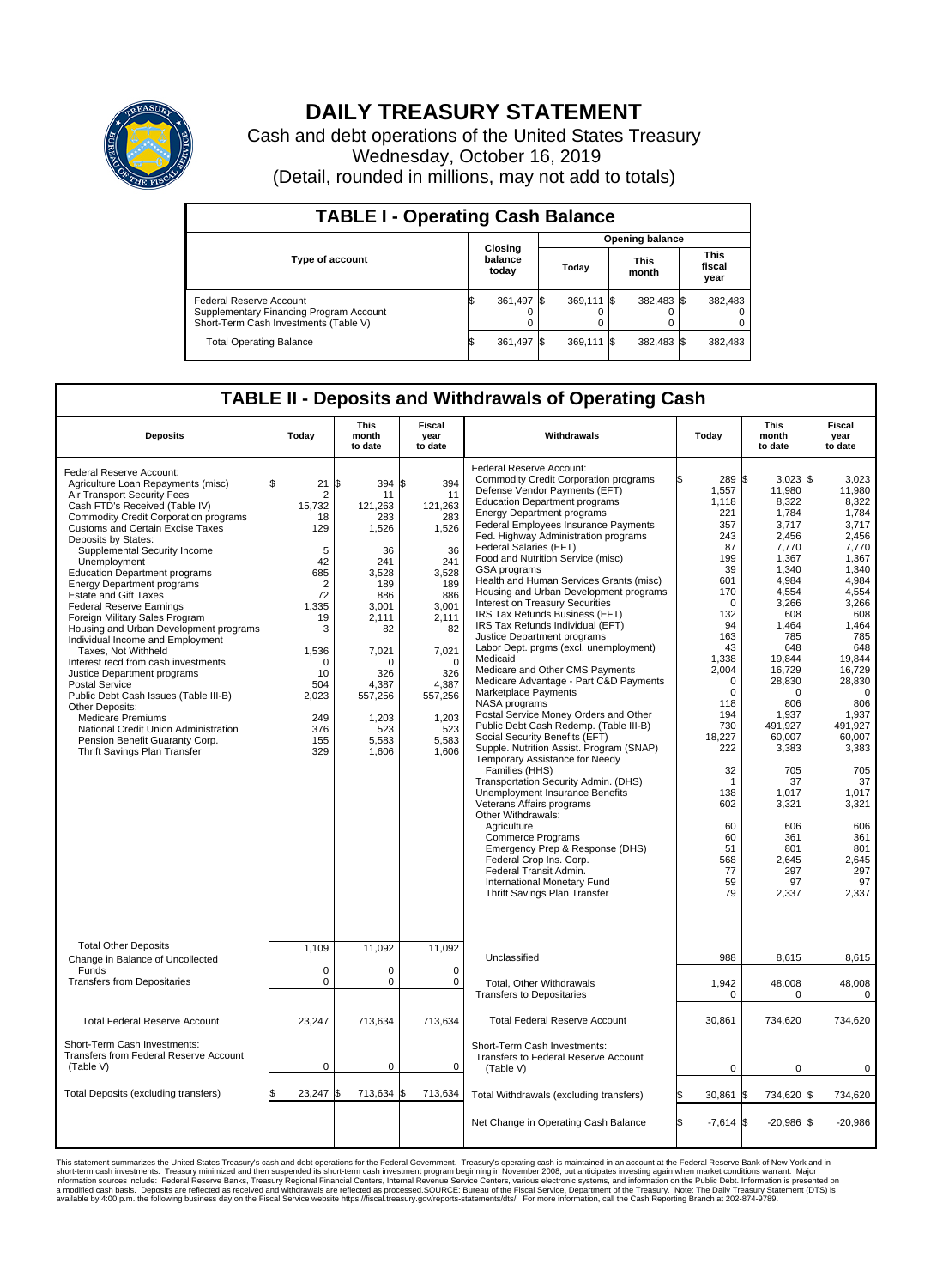

## **DAILY TREASURY STATEMENT**

Cash and debt operations of the United States Treasury Wednesday, October 16, 2019 (Detail, rounded in millions, may not add to totals)

| <b>TABLE I - Operating Cash Balance</b>                                                                     |    |                             |                        |            |  |                      |  |                               |  |
|-------------------------------------------------------------------------------------------------------------|----|-----------------------------|------------------------|------------|--|----------------------|--|-------------------------------|--|
|                                                                                                             |    |                             | <b>Opening balance</b> |            |  |                      |  |                               |  |
| <b>Type of account</b>                                                                                      |    | Closing<br>balance<br>today |                        | Today      |  | <b>This</b><br>month |  | <b>This</b><br>fiscal<br>year |  |
| Federal Reserve Account<br>Supplementary Financing Program Account<br>Short-Term Cash Investments (Table V) |    | 361,497 \$                  |                        | 369.111 \$ |  | 382,483 \$           |  | 382,483                       |  |
| <b>Total Operating Balance</b>                                                                              | IЭ | 361,497 \$                  |                        | 369,111 \$ |  | 382,483 \$           |  | 382,483                       |  |

## **TABLE II - Deposits and Withdrawals of Operating Cash**

| <b>Deposits</b>                                                                                                                                                                                                                                                                                                                                                                                                                                                                                                                                                                                                                                                                                                                                                                                                                                                                           | Today                                                                                                                                                                                    | <b>This</b><br>month<br>to date                                                                                                                                                       | <b>Fiscal</b><br>year<br>to date                                                                                                                                                   | Withdrawals                                                                                                                                                                                                                                                                                                                                                                                                                                                                                                                                                                                                                                                                                                                                                                                                                                                                                                                                                                                                                                                                                                                                                                                                                                                                                                         | Today                                                                                                                                                                                                                                                                                  | <b>This</b><br>month<br>to date                                                                                                                                                                                                                                                                                  | <b>Fiscal</b><br>year<br>to date                                                                                                                                                                                                                                                                                      |
|-------------------------------------------------------------------------------------------------------------------------------------------------------------------------------------------------------------------------------------------------------------------------------------------------------------------------------------------------------------------------------------------------------------------------------------------------------------------------------------------------------------------------------------------------------------------------------------------------------------------------------------------------------------------------------------------------------------------------------------------------------------------------------------------------------------------------------------------------------------------------------------------|------------------------------------------------------------------------------------------------------------------------------------------------------------------------------------------|---------------------------------------------------------------------------------------------------------------------------------------------------------------------------------------|------------------------------------------------------------------------------------------------------------------------------------------------------------------------------------|---------------------------------------------------------------------------------------------------------------------------------------------------------------------------------------------------------------------------------------------------------------------------------------------------------------------------------------------------------------------------------------------------------------------------------------------------------------------------------------------------------------------------------------------------------------------------------------------------------------------------------------------------------------------------------------------------------------------------------------------------------------------------------------------------------------------------------------------------------------------------------------------------------------------------------------------------------------------------------------------------------------------------------------------------------------------------------------------------------------------------------------------------------------------------------------------------------------------------------------------------------------------------------------------------------------------|----------------------------------------------------------------------------------------------------------------------------------------------------------------------------------------------------------------------------------------------------------------------------------------|------------------------------------------------------------------------------------------------------------------------------------------------------------------------------------------------------------------------------------------------------------------------------------------------------------------|-----------------------------------------------------------------------------------------------------------------------------------------------------------------------------------------------------------------------------------------------------------------------------------------------------------------------|
| Federal Reserve Account:<br>Agriculture Loan Repayments (misc)<br>Air Transport Security Fees<br>Cash FTD's Received (Table IV)<br><b>Commodity Credit Corporation programs</b><br><b>Customs and Certain Excise Taxes</b><br>Deposits by States:<br>Supplemental Security Income<br>Unemployment<br><b>Education Department programs</b><br><b>Energy Department programs</b><br><b>Estate and Gift Taxes</b><br><b>Federal Reserve Earnings</b><br>Foreign Military Sales Program<br>Housing and Urban Development programs<br>Individual Income and Employment<br>Taxes. Not Withheld<br>Interest recd from cash investments<br>Justice Department programs<br><b>Postal Service</b><br>Public Debt Cash Issues (Table III-B)<br>Other Deposits:<br><b>Medicare Premiums</b><br>National Credit Union Administration<br>Pension Benefit Guaranty Corp.<br>Thrift Savings Plan Transfer | 21<br>ፍ<br>$\overline{2}$<br>15.732<br>18<br>129<br>5<br>42<br>685<br>$\overline{2}$<br>72<br>1,335<br>19<br>3<br>1,536<br>$\mathbf 0$<br>10<br>504<br>2,023<br>249<br>376<br>155<br>329 | 394 \$<br>l\$<br>11<br>121.263<br>283<br>1,526<br>36<br>241<br>3,528<br>189<br>886<br>3,001<br>2,111<br>82<br>7,021<br>n<br>326<br>4,387<br>557,256<br>1,203<br>523<br>5,583<br>1,606 | 394<br>11<br>121.263<br>283<br>1,526<br>36<br>241<br>3,528<br>189<br>886<br>3,001<br>2.111<br>82<br>7,021<br>$\Omega$<br>326<br>4,387<br>557,256<br>1,203<br>523<br>5,583<br>1,606 | Federal Reserve Account:<br><b>Commodity Credit Corporation programs</b><br>Defense Vendor Payments (EFT)<br><b>Education Department programs</b><br><b>Energy Department programs</b><br>Federal Employees Insurance Payments<br>Fed. Highway Administration programs<br>Federal Salaries (EFT)<br>Food and Nutrition Service (misc)<br>GSA programs<br>Health and Human Services Grants (misc)<br>Housing and Urban Development programs<br>Interest on Treasury Securities<br>IRS Tax Refunds Business (EFT)<br>IRS Tax Refunds Individual (EFT)<br>Justice Department programs<br>Labor Dept. prgms (excl. unemployment)<br>Medicaid<br>Medicare and Other CMS Payments<br>Medicare Advantage - Part C&D Payments<br>Marketplace Payments<br>NASA programs<br>Postal Service Money Orders and Other<br>Public Debt Cash Redemp. (Table III-B)<br>Social Security Benefits (EFT)<br>Supple. Nutrition Assist. Program (SNAP)<br>Temporary Assistance for Needy<br>Families (HHS)<br>Transportation Security Admin. (DHS)<br>Unemployment Insurance Benefits<br>Veterans Affairs programs<br>Other Withdrawals:<br>Agriculture<br><b>Commerce Programs</b><br>Emergency Prep & Response (DHS)<br>Federal Crop Ins. Corp.<br>Federal Transit Admin.<br>International Monetary Fund<br>Thrift Savings Plan Transfer | 289 \$<br>1,557<br>1,118<br>221<br>357<br>243<br>87<br>199<br>39<br>601<br>170<br>$\Omega$<br>132<br>94<br>163<br>43<br>1,338<br>2,004<br>$\Omega$<br>$\mathbf 0$<br>118<br>194<br>730<br>18,227<br>222<br>32<br>$\mathbf{1}$<br>138<br>602<br>60<br>60<br>51<br>568<br>77<br>59<br>79 | $3,023$ \$<br>11,980<br>8,322<br>1,784<br>3,717<br>2,456<br>7,770<br>1,367<br>1,340<br>4,984<br>4.554<br>3,266<br>608<br>1,464<br>785<br>648<br>19,844<br>16,729<br>28,830<br>0<br>806<br>1.937<br>491,927<br>60,007<br>3,383<br>705<br>37<br>1.017<br>3,321<br>606<br>361<br>801<br>2,645<br>297<br>97<br>2,337 | 3,023<br>11,980<br>8,322<br>1,784<br>3.717<br>2,456<br>7,770<br>1,367<br>1,340<br>4,984<br>4.554<br>3,266<br>608<br>1,464<br>785<br>648<br>19.844<br>16,729<br>28,830<br>$\mathbf 0$<br>806<br>1,937<br>491,927<br>60.007<br>3,383<br>705<br>37<br>1.017<br>3,321<br>606<br>361<br>801<br>2,645<br>297<br>97<br>2,337 |
| <b>Total Other Deposits</b><br>Change in Balance of Uncollected                                                                                                                                                                                                                                                                                                                                                                                                                                                                                                                                                                                                                                                                                                                                                                                                                           | 1.109                                                                                                                                                                                    | 11,092                                                                                                                                                                                | 11.092                                                                                                                                                                             | Unclassified                                                                                                                                                                                                                                                                                                                                                                                                                                                                                                                                                                                                                                                                                                                                                                                                                                                                                                                                                                                                                                                                                                                                                                                                                                                                                                        | 988                                                                                                                                                                                                                                                                                    | 8,615                                                                                                                                                                                                                                                                                                            | 8,615                                                                                                                                                                                                                                                                                                                 |
| Funds<br><b>Transfers from Depositaries</b>                                                                                                                                                                                                                                                                                                                                                                                                                                                                                                                                                                                                                                                                                                                                                                                                                                               | $\mathbf 0$<br>$\mathbf 0$                                                                                                                                                               | 0<br>0                                                                                                                                                                                | $\mathbf 0$<br>$\mathbf 0$                                                                                                                                                         | Total, Other Withdrawals<br><b>Transfers to Depositaries</b>                                                                                                                                                                                                                                                                                                                                                                                                                                                                                                                                                                                                                                                                                                                                                                                                                                                                                                                                                                                                                                                                                                                                                                                                                                                        | 1,942<br>0                                                                                                                                                                                                                                                                             | 48,008<br>0                                                                                                                                                                                                                                                                                                      | 48,008<br>0                                                                                                                                                                                                                                                                                                           |
| <b>Total Federal Reserve Account</b>                                                                                                                                                                                                                                                                                                                                                                                                                                                                                                                                                                                                                                                                                                                                                                                                                                                      | 23,247                                                                                                                                                                                   | 713,634                                                                                                                                                                               | 713,634                                                                                                                                                                            | <b>Total Federal Reserve Account</b>                                                                                                                                                                                                                                                                                                                                                                                                                                                                                                                                                                                                                                                                                                                                                                                                                                                                                                                                                                                                                                                                                                                                                                                                                                                                                | 30,861                                                                                                                                                                                                                                                                                 | 734,620                                                                                                                                                                                                                                                                                                          | 734,620                                                                                                                                                                                                                                                                                                               |
| Short-Term Cash Investments:<br>Transfers from Federal Reserve Account<br>(Table V)                                                                                                                                                                                                                                                                                                                                                                                                                                                                                                                                                                                                                                                                                                                                                                                                       | $\mathbf 0$                                                                                                                                                                              | 0                                                                                                                                                                                     | $\mathbf 0$                                                                                                                                                                        | Short-Term Cash Investments:<br>Transfers to Federal Reserve Account<br>(Table V)                                                                                                                                                                                                                                                                                                                                                                                                                                                                                                                                                                                                                                                                                                                                                                                                                                                                                                                                                                                                                                                                                                                                                                                                                                   | $\mathbf 0$                                                                                                                                                                                                                                                                            | $\mathbf 0$                                                                                                                                                                                                                                                                                                      | $\mathbf 0$                                                                                                                                                                                                                                                                                                           |
| Total Deposits (excluding transfers)                                                                                                                                                                                                                                                                                                                                                                                                                                                                                                                                                                                                                                                                                                                                                                                                                                                      | 23,247                                                                                                                                                                                   | 713,634 \$                                                                                                                                                                            | 713,634                                                                                                                                                                            | Total Withdrawals (excluding transfers)                                                                                                                                                                                                                                                                                                                                                                                                                                                                                                                                                                                                                                                                                                                                                                                                                                                                                                                                                                                                                                                                                                                                                                                                                                                                             | 30,861                                                                                                                                                                                                                                                                                 | 734,620 \$<br>l\$                                                                                                                                                                                                                                                                                                | 734,620                                                                                                                                                                                                                                                                                                               |
|                                                                                                                                                                                                                                                                                                                                                                                                                                                                                                                                                                                                                                                                                                                                                                                                                                                                                           |                                                                                                                                                                                          |                                                                                                                                                                                       |                                                                                                                                                                                    | Net Change in Operating Cash Balance                                                                                                                                                                                                                                                                                                                                                                                                                                                                                                                                                                                                                                                                                                                                                                                                                                                                                                                                                                                                                                                                                                                                                                                                                                                                                | Ŝ.<br>$-7.614$ \$                                                                                                                                                                                                                                                                      | $-20.986$ \$                                                                                                                                                                                                                                                                                                     | $-20.986$                                                                                                                                                                                                                                                                                                             |

This statement summarizes the United States Treasury's cash and debt operations for the Federal Government. Treasury soperating in November 2008, but anticiarded in a cocount at the Federal metaformation sources investment